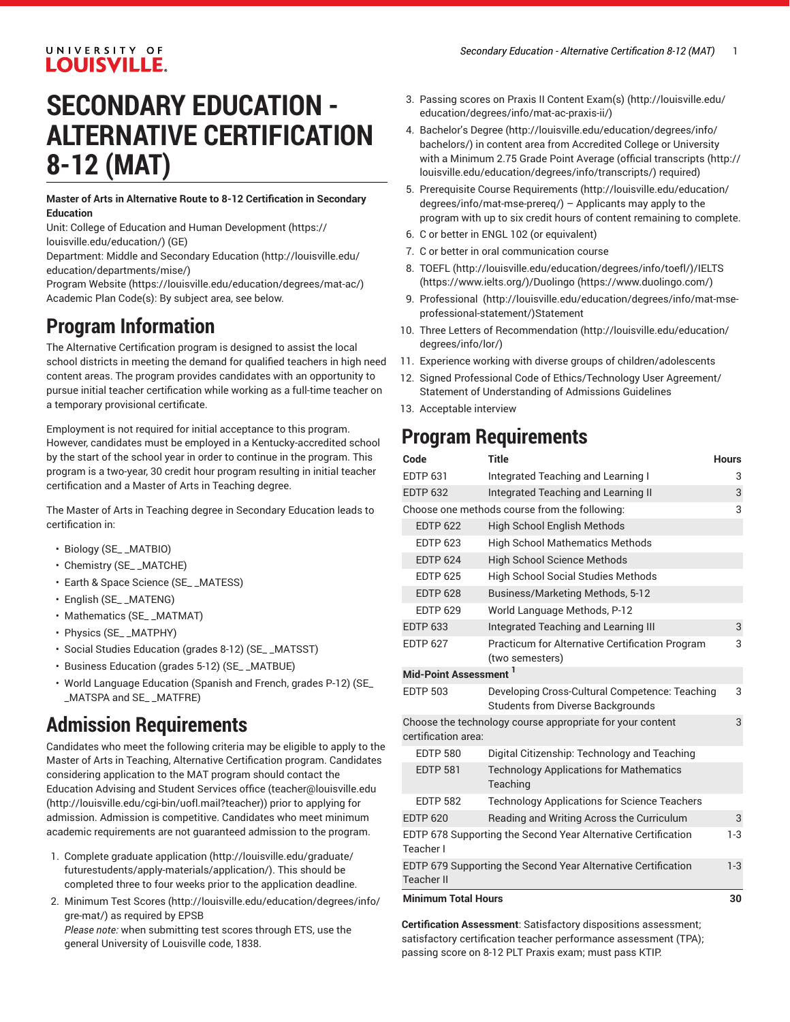#### UNIVERSITY OF **LOUISVILLE.**

# **SECONDARY EDUCATION - ALTERNATIVE CERTIFICATION 8-12 (MAT)**

**Master of Arts in Alternative Route to 8-12 Certification in Secondary Education**

Unit: College of Education and Human [Development \(https://](https://louisville.edu/education/) [louisville.edu/education/](https://louisville.edu/education/)) (GE)

Department: Middle and [Secondary](http://louisville.edu/education/departments/mise/) Education [\(http://louisville.edu/](http://louisville.edu/education/departments/mise/) [education/departments/mise/](http://louisville.edu/education/departments/mise/))

[Program](https://louisville.edu/education/degrees/mat-ac/) Website [\(https://louisville.edu/education/degrees/mat-ac/\)](https://louisville.edu/education/degrees/mat-ac/) Academic Plan Code(s): By subject area, see below.

## **Program Information**

The Alternative Certification program is designed to assist the local school districts in meeting the demand for qualified teachers in high need content areas. The program provides candidates with an opportunity to pursue initial teacher certification while working as a full-time teacher on a temporary provisional certificate.

Employment is not required for initial acceptance to this program. However, candidates must be employed in a Kentucky-accredited school by the start of the school year in order to continue in the program. This program is a two-year, 30 credit hour program resulting in initial teacher certification and a Master of Arts in Teaching degree.

The Master of Arts in Teaching degree in Secondary Education leads to certification in:

- Biology (SE\_ \_MATBIO)
- Chemistry (SE\_ \_MATCHE)
- Earth & Space Science (SE\_ \_MATESS)
- English (SE\_ \_MATENG)
- Mathematics (SE\_ \_MATMAT)
- Physics (SE\_ \_MATPHY)
- Social Studies Education (grades 8-12) (SE\_ \_MATSST)
- Business Education (grades 5-12) (SE\_ \_MATBUE)
- World Language Education (Spanish and French, grades P-12) (SE\_ \_MATSPA and SE\_ \_MATFRE)

## **Admission Requirements**

Candidates who meet the following criteria may be eligible to apply to the Master of Arts in Teaching, Alternative Certification program. Candidates considering application to the MAT program should contact the Education Advising and Student Services office [\(teacher@louisville.edu](http://louisville.edu/cgi-bin/uofl.mail?teacher) ([http://louisville.edu/cgi-bin/uofl.mail?teacher\)](http://louisville.edu/cgi-bin/uofl.mail?teacher)) prior to applying for admission. Admission is competitive. Candidates who meet minimum academic requirements are not guaranteed admission to the program.

- 1. Complete [graduate application](http://louisville.edu/graduate/futurestudents/apply-materials/application/) [\(http://louisville.edu/graduate/](http://louisville.edu/graduate/futurestudents/apply-materials/application/) [futurestudents/apply-materials/application/\)](http://louisville.edu/graduate/futurestudents/apply-materials/application/). This should be completed three to four weeks prior to the application deadline.
- 2. Minimum Test [Scores](http://louisville.edu/education/degrees/info/gre-mat/) [\(http://louisville.edu/education/degrees/info/](http://louisville.edu/education/degrees/info/gre-mat/) [gre-mat/](http://louisville.edu/education/degrees/info/gre-mat/)) as required by EPSB *Please note:* when submitting test scores through ETS, use the general University of Louisville code, 1838.
- 3. Passing scores on [Praxis II Content Exam\(s\)](http://louisville.edu/education/degrees/info/mat-ac-praxis-ii/) ([http://louisville.edu/](http://louisville.edu/education/degrees/info/mat-ac-praxis-ii/) [education/degrees/info/mat-ac-praxis-ii/](http://louisville.edu/education/degrees/info/mat-ac-praxis-ii/))
- 4. [Bachelor's](http://louisville.edu/education/degrees/info/bachelors/) Degree ([http://louisville.edu/education/degrees/info/](http://louisville.edu/education/degrees/info/bachelors/) [bachelors/](http://louisville.edu/education/degrees/info/bachelors/)) in content area from Accredited College or University with a Minimum 2.75 Grade Point Average ([official transcripts](http://louisville.edu/education/degrees/info/transcripts/) [\(http://](http://louisville.edu/education/degrees/info/transcripts/) [louisville.edu/education/degrees/info/transcripts/](http://louisville.edu/education/degrees/info/transcripts/)) required)
- 5. Prerequisite Course [Requirements](http://louisville.edu/education/degrees/info/mat-mse-prereq/) ([http://louisville.edu/education/](http://louisville.edu/education/degrees/info/mat-mse-prereq/) [degrees/info/mat-mse-prereq/\)](http://louisville.edu/education/degrees/info/mat-mse-prereq/) – Applicants may apply to the program with up to six credit hours of content remaining to complete.
- 6. C or better in ENGL 102 (or equivalent)
- 7. C or better in oral communication course
- 8. [TOEFL](http://louisville.edu/education/degrees/info/toefl/) (<http://louisville.edu/education/degrees/info/toefl/>)[/IELTS](https://www.ielts.org/) [\(https://www.ielts.org/\)](https://www.ielts.org/)/[Duolingo \(https://www.duolingo.com/](https://www.duolingo.com/))
- 9. [Professional](http://louisville.edu/education/degrees/info/mat-mse-professional-statement/) [\(http://louisville.edu/education/degrees/info/mat-mse](http://louisville.edu/education/degrees/info/mat-mse-professional-statement/)[professional-statement/](http://louisville.edu/education/degrees/info/mat-mse-professional-statement/))Statement
- 10. Three [Letters of Recommendation](http://louisville.edu/education/degrees/info/lor/) ([http://louisville.edu/education/](http://louisville.edu/education/degrees/info/lor/) [degrees/info/lor/](http://louisville.edu/education/degrees/info/lor/))
- 11. Experience working with diverse groups of children/adolescents
- 12. Signed Professional Code of Ethics/Technology User Agreement/ Statement of Understanding of Admissions Guidelines
- 13. Acceptable interview

## **Program Requirements**

| Code                                                                             | Title                                                                                      | <b>Hours</b> |
|----------------------------------------------------------------------------------|--------------------------------------------------------------------------------------------|--------------|
| <b>EDTP 631</b>                                                                  | Integrated Teaching and Learning I                                                         | 3            |
| <b>EDTP 632</b>                                                                  | Integrated Teaching and Learning II                                                        | 3            |
| Choose one methods course from the following:                                    |                                                                                            | 3            |
| <b>EDTP 622</b>                                                                  | <b>High School English Methods</b>                                                         |              |
| <b>EDTP 623</b>                                                                  | <b>High School Mathematics Methods</b>                                                     |              |
| <b>EDTP 624</b>                                                                  | <b>High School Science Methods</b>                                                         |              |
| <b>EDTP 625</b>                                                                  | <b>High School Social Studies Methods</b>                                                  |              |
| <b>EDTP 628</b>                                                                  | Business/Marketing Methods, 5-12                                                           |              |
| <b>EDTP 629</b>                                                                  | World Language Methods, P-12                                                               |              |
| <b>EDTP 633</b>                                                                  | Integrated Teaching and Learning III                                                       | 3            |
| <b>EDTP 627</b>                                                                  | <b>Practicum for Alternative Certification Program</b><br>(two semesters)                  | 3            |
| Mid-Point Assessment <sup>1</sup>                                                |                                                                                            |              |
| <b>EDTP 503</b>                                                                  | Developing Cross-Cultural Competence: Teaching<br><b>Students from Diverse Backgrounds</b> | 3            |
| Choose the technology course appropriate for your content<br>certification area: |                                                                                            | 3            |
| <b>EDTP 580</b>                                                                  | Digital Citizenship: Technology and Teaching                                               |              |
| <b>EDTP 581</b>                                                                  | <b>Technology Applications for Mathematics</b><br>Teaching                                 |              |
| <b>EDTP 582</b>                                                                  | <b>Technology Applications for Science Teachers</b>                                        |              |
| <b>EDTP 620</b>                                                                  | Reading and Writing Across the Curriculum                                                  | 3            |
| Teacher I                                                                        | EDTP 678 Supporting the Second Year Alternative Certification                              | $1-3$        |
| <b>Teacher II</b>                                                                | EDTP 679 Supporting the Second Year Alternative Certification                              | $1-3$        |
| <b>Minimum Total Hours</b><br>30                                                 |                                                                                            |              |

**Certification Assessment**: Satisfactory dispositions assessment; satisfactory certification teacher performance assessment (TPA); passing score on 8-12 PLT Praxis exam; must pass KTIP.